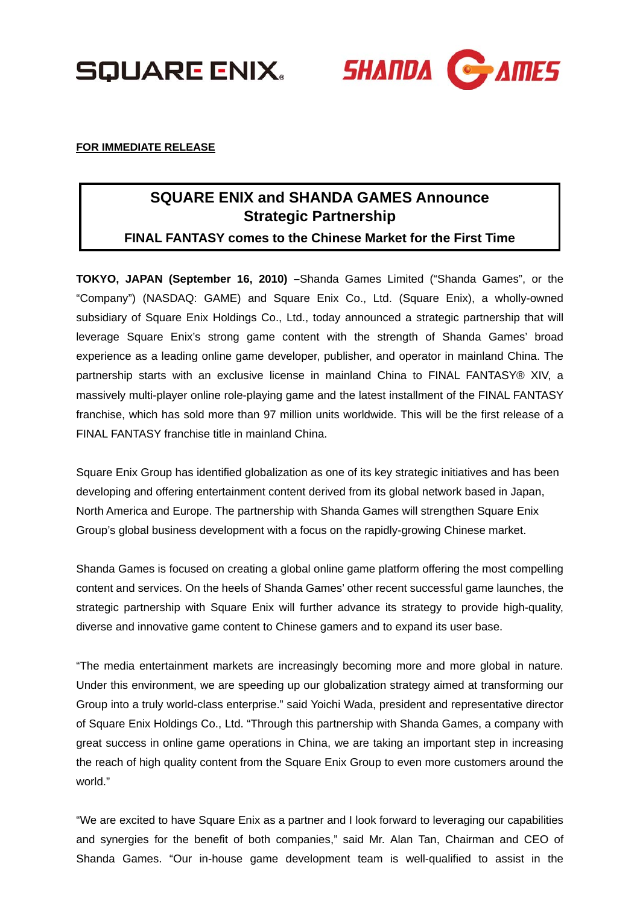

## **FOR IMMEDIATE RELEASE**

# **SQUARE ENIX and SHANDA GAMES Announce Strategic Partnership**

# **FINAL FANTASY comes to the Chinese Market for the First Time**

**TOKYO, JAPAN (September 16, 2010) –**Shanda Games Limited ("Shanda Games", or the "Company") (NASDAQ: GAME) and Square Enix Co., Ltd. (Square Enix), a wholly-owned subsidiary of Square Enix Holdings Co., Ltd., today announced a strategic partnership that will leverage Square Enix's strong game content with the strength of Shanda Games' broad experience as a leading online game developer, publisher, and operator in mainland China. The partnership starts with an exclusive license in mainland China to FINAL FANTASY® XIV, a massively multi-player online role-playing game and the latest installment of the FINAL FANTASY franchise, which has sold more than 97 million units worldwide. This will be the first release of a FINAL FANTASY franchise title in mainland China.

Square Enix Group has identified globalization as one of its key strategic initiatives and has been developing and offering entertainment content derived from its global network based in Japan, North America and Europe. The partnership with Shanda Games will strengthen Square Enix Group's global business development with a focus on the rapidly-growing Chinese market.

Shanda Games is focused on creating a global online game platform offering the most compelling content and services. On the heels of Shanda Games' other recent successful game launches, the strategic partnership with Square Enix will further advance its strategy to provide high-quality, diverse and innovative game content to Chinese gamers and to expand its user base.

"The media entertainment markets are increasingly becoming more and more global in nature. Under this environment, we are speeding up our globalization strategy aimed at transforming our Group into a truly world-class enterprise." said Yoichi Wada, president and representative director of Square Enix Holdings Co., Ltd. "Through this partnership with Shanda Games, a company with great success in online game operations in China, we are taking an important step in increasing the reach of high quality content from the Square Enix Group to even more customers around the world."

"We are excited to have Square Enix as a partner and I look forward to leveraging our capabilities and synergies for the benefit of both companies," said Mr. Alan Tan, Chairman and CEO of Shanda Games. "Our in-house game development team is well-qualified to assist in the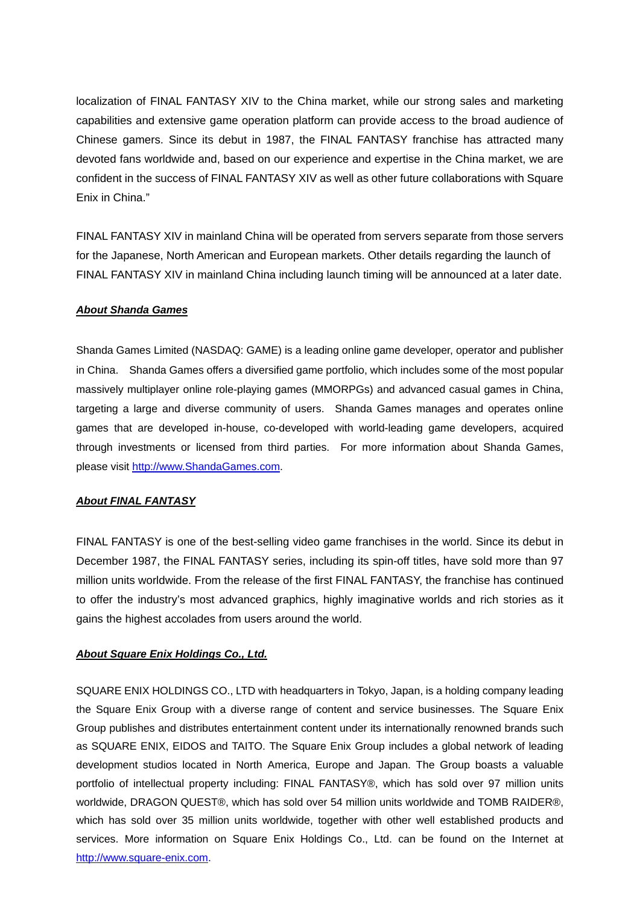localization of FINAL FANTASY XIV to the China market, while our strong sales and marketing capabilities and extensive game operation platform can provide access to the broad audience of Chinese gamers. Since its debut in 1987, the FINAL FANTASY franchise has attracted many devoted fans worldwide and, based on our experience and expertise in the China market, we are confident in the success of FINAL FANTASY XIV as well as other future collaborations with Square Enix in China."

FINAL FANTASY XIV in mainland China will be operated from servers separate from those servers for the Japanese, North American and European markets. Other details regarding the launch of FINAL FANTASY XIV in mainland China including launch timing will be announced at a later date.

### *About Shanda Games*

Shanda Games Limited (NASDAQ: GAME) is a leading online game developer, operator and publisher in China. Shanda Games offers a diversified game portfolio, which includes some of the most popular massively multiplayer online role-playing games (MMORPGs) and advanced casual games in China, targeting a large and diverse community of users. Shanda Games manages and operates online games that are developed in-house, co-developed with world-leading game developers, acquired through investments or licensed from third parties. For more information about Shanda Games, please visit http://www.ShandaGames.com.

#### *About FINAL FANTASY*

FINAL FANTASY is one of the best-selling video game franchises in the world. Since its debut in December 1987, the FINAL FANTASY series, including its spin-off titles, have sold more than 97 million units worldwide. From the release of the first FINAL FANTASY, the franchise has continued to offer the industry's most advanced graphics, highly imaginative worlds and rich stories as it gains the highest accolades from users around the world.

#### *About Square Enix Holdings Co., Ltd.*

SQUARE ENIX HOLDINGS CO., LTD with headquarters in Tokyo, Japan, is a holding company leading the Square Enix Group with a diverse range of content and service businesses. The Square Enix Group publishes and distributes entertainment content under its internationally renowned brands such as SQUARE ENIX, EIDOS and TAITO. The Square Enix Group includes a global network of leading development studios located in North America, Europe and Japan. The Group boasts a valuable portfolio of intellectual property including: FINAL FANTASY®, which has sold over 97 million units worldwide, DRAGON QUEST®, which has sold over 54 million units worldwide and TOMB RAIDER®, which has sold over 35 million units worldwide, together with other well established products and services. More information on Square Enix Holdings Co., Ltd. can be found on the Internet at http://www.square-enix.com.